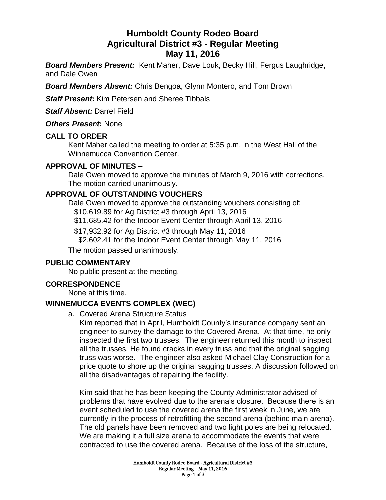# **Humboldt County Rodeo Board Agricultural District #3 - Regular Meeting May 11, 2016**

*Board Members Present:* Kent Maher, Dave Louk, Becky Hill, Fergus Laughridge, and Dale Owen

*Board Members Absent:* Chris Bengoa, Glynn Montero, and Tom Brown

*Staff Present:* Kim Petersen and Sheree Tibbals

*Staff Absent:* Darrel Field

*Others Present***:** None

#### **CALL TO ORDER**

Kent Maher called the meeting to order at 5:35 p.m. in the West Hall of the Winnemucca Convention Center.

### **APPROVAL OF MINUTES –**

Dale Owen moved to approve the minutes of March 9, 2016 with corrections. The motion carried unanimously.

# **APPROVAL OF OUTSTANDING VOUCHERS**

Dale Owen moved to approve the outstanding vouchers consisting of:

\$10,619.89 for Ag District #3 through April 13, 2016

\$11,685.42 for the Indoor Event Center through April 13, 2016

\$17,932.92 for Ag District #3 through May 11, 2016 \$2,602.41 for the Indoor Event Center through May 11, 2016

The motion passed unanimously.

# **PUBLIC COMMENTARY**

No public present at the meeting.

# **CORRESPONDENCE**

None at this time.

# **WINNEMUCCA EVENTS COMPLEX (WEC)**

a. Covered Arena Structure Status

Kim reported that in April, Humboldt County's insurance company sent an engineer to survey the damage to the Covered Arena. At that time, he only inspected the first two trusses. The engineer returned this month to inspect all the trusses. He found cracks in every truss and that the original sagging truss was worse. The engineer also asked Michael Clay Construction for a price quote to shore up the original sagging trusses. A discussion followed on all the disadvantages of repairing the facility.

Kim said that he has been keeping the County Administrator advised of problems that have evolved due to the arena's closure. Because there is an event scheduled to use the covered arena the first week in June, we are currently in the process of retrofitting the second arena (behind main arena). The old panels have been removed and two light poles are being relocated. We are making it a full size arena to accommodate the events that were contracted to use the covered arena. Because of the loss of the structure,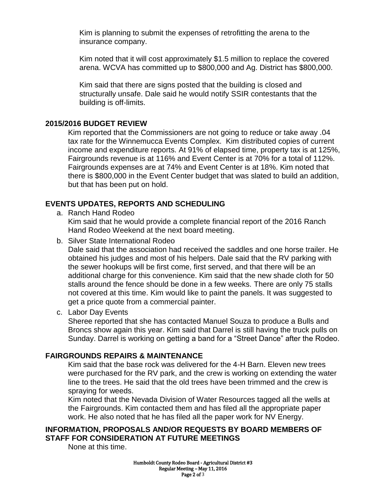Kim is planning to submit the expenses of retrofitting the arena to the insurance company.

Kim noted that it will cost approximately \$1.5 million to replace the covered arena. WCVA has committed up to \$800,000 and Ag. District has \$800,000.

Kim said that there are signs posted that the building is closed and structurally unsafe. Dale said he would notify SSIR contestants that the building is off-limits.

#### **2015/2016 BUDGET REVIEW**

Kim reported that the Commissioners are not going to reduce or take away .04 tax rate for the Winnemucca Events Complex. Kim distributed copies of current income and expenditure reports. At 91% of elapsed time, property tax is at 125%, Fairgrounds revenue is at 116% and Event Center is at 70% for a total of 112%. Fairgrounds expenses are at 74% and Event Center is at 18%. Kim noted that there is \$800,000 in the Event Center budget that was slated to build an addition, but that has been put on hold.

### **EVENTS UPDATES, REPORTS AND SCHEDULING**

a. Ranch Hand Rodeo

Kim said that he would provide a complete financial report of the 2016 Ranch Hand Rodeo Weekend at the next board meeting.

b. Silver State International Rodeo

Dale said that the association had received the saddles and one horse trailer. He obtained his judges and most of his helpers. Dale said that the RV parking with the sewer hookups will be first come, first served, and that there will be an additional charge for this convenience. Kim said that the new shade cloth for 50 stalls around the fence should be done in a few weeks. There are only 75 stalls not covered at this time. Kim would like to paint the panels. It was suggested to get a price quote from a commercial painter.

c. Labor Day Events

Sheree reported that she has contacted Manuel Souza to produce a Bulls and Broncs show again this year. Kim said that Darrel is still having the truck pulls on Sunday. Darrel is working on getting a band for a "Street Dance" after the Rodeo.

#### **FAIRGROUNDS REPAIRS & MAINTENANCE**

Kim said that the base rock was delivered for the 4-H Barn. Eleven new trees were purchased for the RV park, and the crew is working on extending the water line to the trees. He said that the old trees have been trimmed and the crew is spraying for weeds.

Kim noted that the Nevada Division of Water Resources tagged all the wells at the Fairgrounds. Kim contacted them and has filed all the appropriate paper work. He also noted that he has filed all the paper work for NV Energy.

### **INFORMATION, PROPOSALS AND/OR REQUESTS BY BOARD MEMBERS OF STAFF FOR CONSIDERATION AT FUTURE MEETINGS**

None at this time.